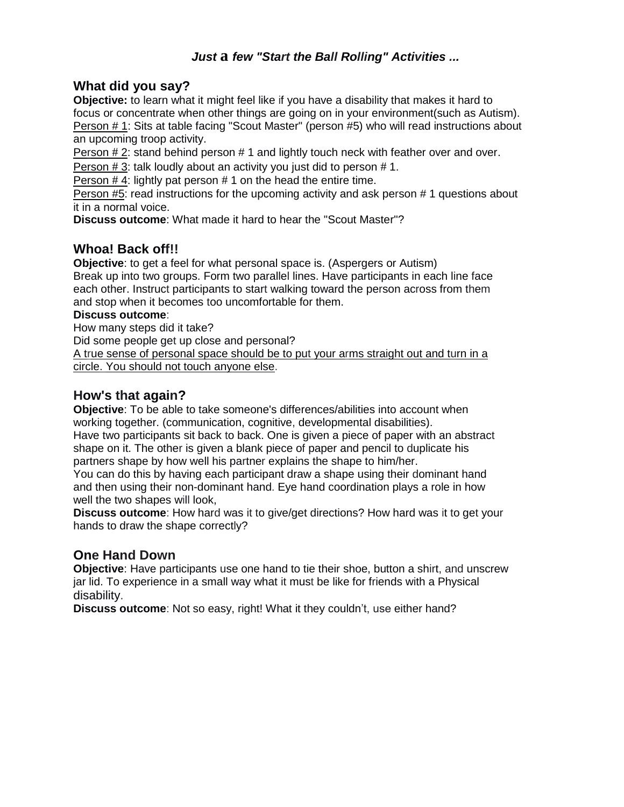# *Just* **a** *few "Start the Ball Rolling" Activities ...*

# **What did you say?**

**Objective:** to learn what it might feel like if you have a disability that makes it hard to focus or concentrate when other things are going on in your environment(such as Autism). Person # 1: Sits at table facing "Scout Master" (person #5) who will read instructions about an upcoming troop activity.

Person  $# 2$ : stand behind person  $# 1$  and lightly touch neck with feather over and over.

Person # 3: talk loudly about an activity you just did to person # 1.

Person  $# 4$ : lightly pat person  $# 1$  on the head the entire time.

Person #5: read instructions for the upcoming activity and ask person # 1 questions about it in a normal voice.

**Discuss outcome**: What made it hard to hear the "Scout Master"?

# **Whoa! Back off!!**

**Objective**: to get a feel for what personal space is. (Aspergers or Autism) Break up into two groups. Form two parallel lines. Have participants in each line face each other. Instruct participants to start walking toward the person across from them and stop when it becomes too uncomfortable for them.

### **Discuss outcome**:

How many steps did it take?

Did some people get up close and personal?

A true sense of personal space should be to put your arms straight out and turn in a circle. You should not touch anyone else.

## **How's that again?**

**Objective**: To be able to take someone's differences/abilities into account when working together. (communication, cognitive, developmental disabilities).

Have two participants sit back to back. One is given a piece of paper with an abstract shape on it. The other is given a blank piece of paper and pencil to duplicate his partners shape by how well his partner explains the shape to him/her.

You can do this by having each participant draw a shape using their dominant hand and then using their non-dominant hand. Eye hand coordination plays a role in how well the two shapes will look,

**Discuss outcome**: How hard was it to give/get directions? How hard was it to get your hands to draw the shape correctly?

# **One Hand Down**

**Objective**: Have participants use one hand to tie their shoe, button a shirt, and unscrew jar lid. To experience in a small way what it must be like for friends with a Physical disability.

**Discuss outcome**: Not so easy, right! What it they couldn't, use either hand?